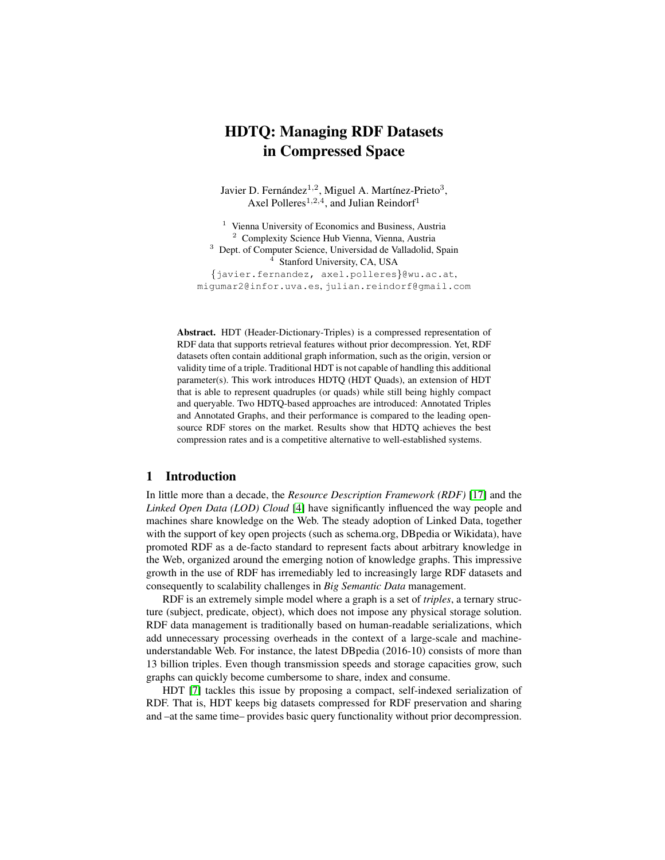# HDTQ: Managing RDF Datasets in Compressed Space

Javier D. Fernández<sup>1,2</sup>, Miguel A. Martínez-Prieto<sup>3</sup>, Axel Polleres<sup>1,2,4</sup>, and Julian Reindorf<sup>1</sup>

<sup>1</sup> Vienna University of Economics and Business, Austria <sup>2</sup> Complexity Science Hub Vienna, Vienna, Austria <sup>3</sup> Dept. of Computer Science, Universidad de Valladolid, Spain 4 Stanford University, CA, USA {javier.fernandez, axel.polleres}@wu.ac.at, migumar2@infor.uva.es, julian.reindorf@gmail.com

Abstract. HDT (Header-Dictionary-Triples) is a compressed representation of RDF data that supports retrieval features without prior decompression. Yet, RDF datasets often contain additional graph information, such as the origin, version or validity time of a triple. Traditional HDT is not capable of handling this additional parameter(s). This work introduces HDTQ (HDT Quads), an extension of HDT that is able to represent quadruples (or quads) while still being highly compact and queryable. Two HDTQ-based approaches are introduced: Annotated Triples and Annotated Graphs, and their performance is compared to the leading opensource RDF stores on the market. Results show that HDTQ achieves the best compression rates and is a competitive alternative to well-established systems.

# 1 Introduction

In little more than a decade, the *Resource Description Framework (RDF)* [\[17\]](#page-14-0) and the *Linked Open Data (LOD) Cloud* [\[4\]](#page-14-1) have significantly influenced the way people and machines share knowledge on the Web. The steady adoption of Linked Data, together with the support of key open projects (such as schema.org, DBpedia or Wikidata), have promoted RDF as a de-facto standard to represent facts about arbitrary knowledge in the Web, organized around the emerging notion of knowledge graphs. This impressive growth in the use of RDF has irremediably led to increasingly large RDF datasets and consequently to scalability challenges in *Big Semantic Data* management.

RDF is an extremely simple model where a graph is a set of *triples*, a ternary structure (subject, predicate, object), which does not impose any physical storage solution. RDF data management is traditionally based on human-readable serializations, which add unnecessary processing overheads in the context of a large-scale and machineunderstandable Web. For instance, the latest DBpedia (2016-10) consists of more than 13 billion triples. Even though transmission speeds and storage capacities grow, such graphs can quickly become cumbersome to share, index and consume.

HDT [\[7\]](#page-14-2) tackles this issue by proposing a compact, self-indexed serialization of RDF. That is, HDT keeps big datasets compressed for RDF preservation and sharing and –at the same time– provides basic query functionality without prior decompression.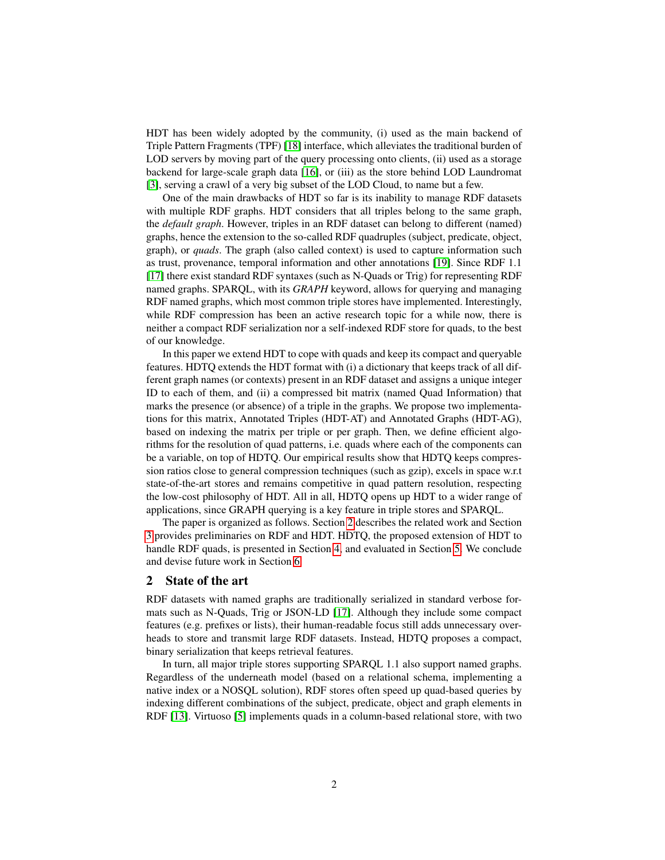HDT has been widely adopted by the community, (i) used as the main backend of Triple Pattern Fragments (TPF) [\[18\]](#page-14-3) interface, which alleviates the traditional burden of LOD servers by moving part of the query processing onto clients, (ii) used as a storage backend for large-scale graph data [\[16\]](#page-14-4), or (iii) as the store behind LOD Laundromat [\[3\]](#page-14-5), serving a crawl of a very big subset of the LOD Cloud, to name but a few.

One of the main drawbacks of HDT so far is its inability to manage RDF datasets with multiple RDF graphs. HDT considers that all triples belong to the same graph, the *default graph*. However, triples in an RDF dataset can belong to different (named) graphs, hence the extension to the so-called RDF quadruples (subject, predicate, object, graph), or *quads*. The graph (also called context) is used to capture information such as trust, provenance, temporal information and other annotations [\[19\]](#page-14-6). Since RDF 1.1 [\[17\]](#page-14-0) there exist standard RDF syntaxes (such as N-Quads or Trig) for representing RDF named graphs. SPARQL, with its *GRAPH* keyword, allows for querying and managing RDF named graphs, which most common triple stores have implemented. Interestingly, while RDF compression has been an active research topic for a while now, there is neither a compact RDF serialization nor a self-indexed RDF store for quads, to the best of our knowledge.

In this paper we extend HDT to cope with quads and keep its compact and queryable features. HDTQ extends the HDT format with (i) a dictionary that keeps track of all different graph names (or contexts) present in an RDF dataset and assigns a unique integer ID to each of them, and (ii) a compressed bit matrix (named Quad Information) that marks the presence (or absence) of a triple in the graphs. We propose two implementations for this matrix, Annotated Triples (HDT-AT) and Annotated Graphs (HDT-AG), based on indexing the matrix per triple or per graph. Then, we define efficient algorithms for the resolution of quad patterns, i.e. quads where each of the components can be a variable, on top of HDTQ. Our empirical results show that HDTQ keeps compression ratios close to general compression techniques (such as gzip), excels in space w.r.t state-of-the-art stores and remains competitive in quad pattern resolution, respecting the low-cost philosophy of HDT. All in all, HDTQ opens up HDT to a wider range of applications, since GRAPH querying is a key feature in triple stores and SPARQL.

The paper is organized as follows. Section [2](#page-1-0) describes the related work and Section [3](#page-2-0) provides preliminaries on RDF and HDT. HDTQ, the proposed extension of HDT to handle RDF quads, is presented in Section [4,](#page-4-0) and evaluated in Section [5.](#page-8-0) We conclude and devise future work in Section [6.](#page-13-0)

# <span id="page-1-0"></span>2 State of the art

RDF datasets with named graphs are traditionally serialized in standard verbose formats such as N-Quads, Trig or JSON-LD [\[17\]](#page-14-0). Although they include some compact features (e.g. prefixes or lists), their human-readable focus still adds unnecessary overheads to store and transmit large RDF datasets. Instead, HDTQ proposes a compact, binary serialization that keeps retrieval features.

In turn, all major triple stores supporting SPARQL 1.1 also support named graphs. Regardless of the underneath model (based on a relational schema, implementing a native index or a NOSQL solution), RDF stores often speed up quad-based queries by indexing different combinations of the subject, predicate, object and graph elements in RDF [\[13\]](#page-14-7). Virtuoso [\[5\]](#page-14-8) implements quads in a column-based relational store, with two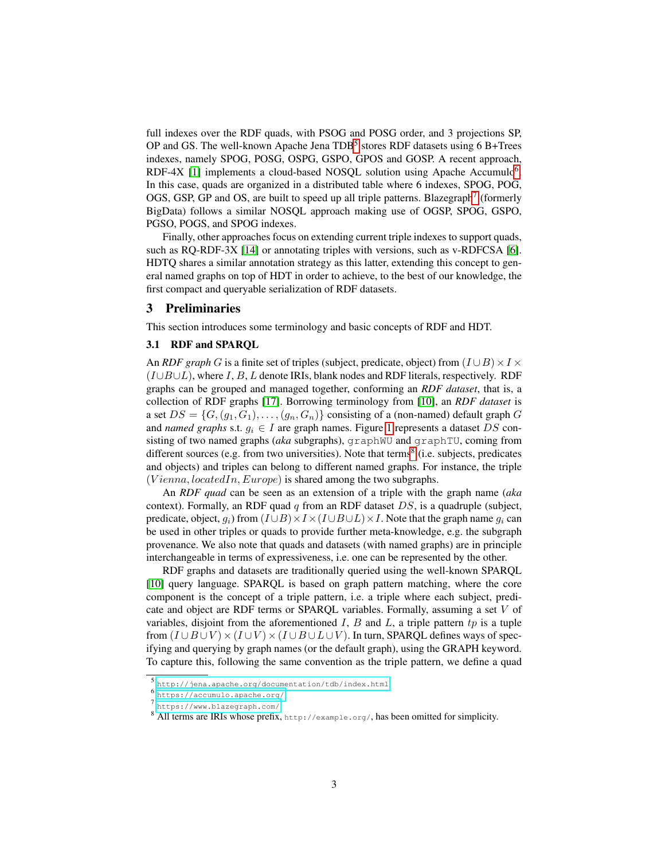full indexes over the RDF quads, with PSOG and POSG order, and 3 projections SP, OP and GS. The well-known Apache Jena TDB<sup>[5](#page-2-1)</sup> stores RDF datasets using 6 B+Trees indexes, namely SPOG, POSG, OSPG, GSPO, GPOS and GOSP. A recent approach, RDF-4X [\[1\]](#page-14-9) implements a cloud-based NOSQL solution using Apache Accumulo<sup>[6](#page-2-2)</sup>. In this case, quads are organized in a distributed table where 6 indexes, SPOG, POG, OGS, GSP, GP and OS, are built to speed up all triple patterns. Blazegraph<sup>[7](#page-2-3)</sup> (formerly BigData) follows a similar NOSQL approach making use of OGSP, SPOG, GSPO, PGSO, POGS, and SPOG indexes.

Finally, other approaches focus on extending current triple indexes to support quads, such as RQ-RDF-3X [\[14\]](#page-14-10) or annotating triples with versions, such as v-RDFCSA [\[6\]](#page-14-11). HDTQ shares a similar annotation strategy as this latter, extending this concept to general named graphs on top of HDT in order to achieve, to the best of our knowledge, the first compact and queryable serialization of RDF datasets.

## <span id="page-2-0"></span>3 Preliminaries

This section introduces some terminology and basic concepts of RDF and HDT.

# 3.1 RDF and SPARQL

An *RDF graph* G is a finite set of triples (subject, predicate, object) from  $(I \cup B) \times I \times$  $(I \cup B \cup L)$ , where I, B, L denote IRIs, blank nodes and RDF literals, respectively. RDF graphs can be grouped and managed together, conforming an *RDF dataset*, that is, a collection of RDF graphs [\[17\]](#page-14-0). Borrowing terminology from [\[10\]](#page-14-12), an *RDF dataset* is a set  $DS = \{G, (g_1, G_1), \ldots, (g_n, G_n)\}\)$  consisting of a (non-named) default graph G and *named graphs* s.t.  $g_i \in I$  are graph names. Figure [1](#page-3-0) represents a dataset DS consisting of two named graphs (*aka* subgraphs), graphWU and graphTU, coming from different sources (e.g. from two universities). Note that terms<sup>[8](#page-2-4)</sup> (i.e. subjects, predicates and objects) and triples can belong to different named graphs. For instance, the triple  $(Vienna, locatedIn, Europe)$  is shared among the two subgraphs.

An *RDF quad* can be seen as an extension of a triple with the graph name (*aka* context). Formally, an RDF quad q from an RDF dataset  $DS$ , is a quadruple (subject, predicate, object,  $q_i$ ) from  $(I \cup B) \times I \times (I \cup B \cup L) \times I$ . Note that the graph name  $q_i$  can be used in other triples or quads to provide further meta-knowledge, e.g. the subgraph provenance. We also note that quads and datasets (with named graphs) are in principle interchangeable in terms of expressiveness, i.e. one can be represented by the other.

RDF graphs and datasets are traditionally queried using the well-known SPARQL [\[10\]](#page-14-12) query language. SPARQL is based on graph pattern matching, where the core component is the concept of a triple pattern, i.e. a triple where each subject, predicate and object are RDF terms or SPARQL variables. Formally, assuming a set V of variables, disjoint from the aforementioned  $I$ ,  $B$  and  $L$ , a triple pattern  $tp$  is a tuple from  $(I \cup B \cup V) \times (I \cup V) \times (I \cup B \cup L \cup V)$ . In turn, SPARQL defines ways of specifying and querying by graph names (or the default graph), using the GRAPH keyword. To capture this, following the same convention as the triple pattern, we define a quad

<span id="page-2-1"></span><sup>5</sup> <http://jena.apache.org/documentation/tdb/index.html>

<span id="page-2-2"></span><sup>6</sup> <https://accumulo.apache.org/>

<span id="page-2-3"></span><sup>7</sup> <https://www.blazegraph.com/>

<span id="page-2-4"></span><sup>8</sup> All terms are IRIs whose prefix, http://example.org/, has been omitted for simplicity.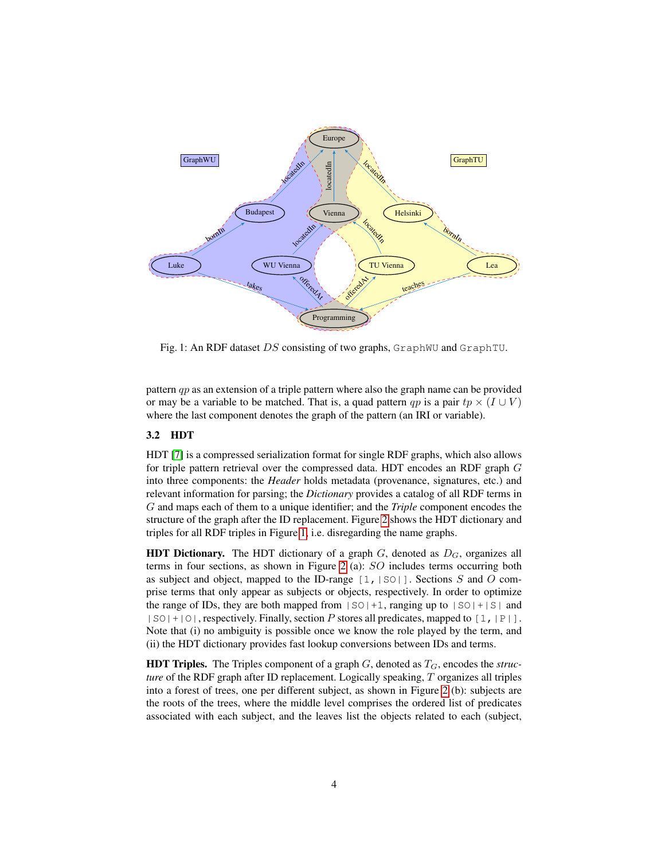<span id="page-3-0"></span>

Fig. 1: An RDF dataset DS consisting of two graphs, GraphWU and GraphTU.

pattern  $qp$  as an extension of a triple pattern where also the graph name can be provided or may be a variable to be matched. That is, a quad pattern qp is a pair  $tp \times (I \cup V)$ where the last component denotes the graph of the pattern (an IRI or variable).

## 3.2 HDT

HDT [\[7\]](#page-14-2) is a compressed serialization format for single RDF graphs, which also allows for triple pattern retrieval over the compressed data. HDT encodes an RDF graph G into three components: the *Header* holds metadata (provenance, signatures, etc.) and relevant information for parsing; the *Dictionary* provides a catalog of all RDF terms in G and maps each of them to a unique identifier; and the *Triple* component encodes the structure of the graph after the ID replacement. Figure [2](#page-4-1) shows the HDT dictionary and triples for all RDF triples in Figure [1,](#page-3-0) i.e. disregarding the name graphs.

**HDT Dictionary.** The HDT dictionary of a graph  $G$ , denoted as  $D_G$ , organizes all terms in four sections, as shown in Figure [2](#page-4-1) (a): SO includes terms occurring both as subject and object, mapped to the ID-range  $[1,|\text{SO}|]$ . Sections S and O comprise terms that only appear as subjects or objects, respectively. In order to optimize the range of IDs, they are both mapped from  $|SO|+1$ , ranging up to  $|SO|+|S|$  and  $|SO|+|O|$ , respectively. Finally, section P stores all predicates, mapped to  $[1,|P|]$ . Note that (i) no ambiguity is possible once we know the role played by the term, and (ii) the HDT dictionary provides fast lookup conversions between IDs and terms.

**HDT Triples.** The Triples component of a graph  $G$ , denoted as  $T_G$ , encodes the *structure* of the RDF graph after ID replacement. Logically speaking, T organizes all triples into a forest of trees, one per different subject, as shown in Figure [2](#page-4-1) (b): subjects are the roots of the trees, where the middle level comprises the ordered list of predicates associated with each subject, and the leaves list the objects related to each (subject,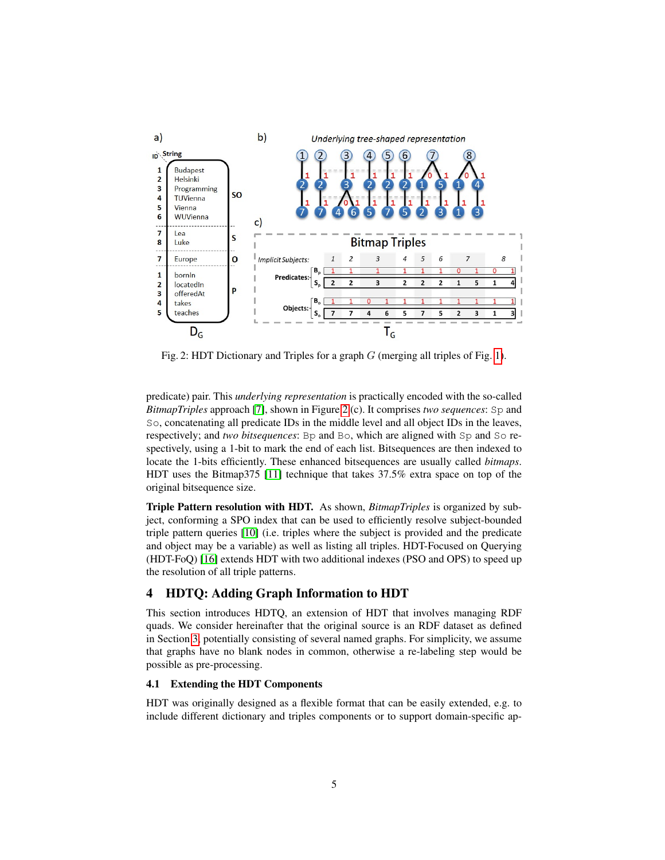<span id="page-4-1"></span>

Fig. 2: HDT Dictionary and Triples for a graph G (merging all triples of Fig. [1\)](#page-3-0).

predicate) pair. This *underlying representation* is practically encoded with the so-called *BitmapTriples* approach [\[7\]](#page-14-2), shown in Figure [2](#page-4-1) (c). It comprises *two sequences*: Sp and So, concatenating all predicate IDs in the middle level and all object IDs in the leaves, respectively; and *two bitsequences*: Bp and Bo, which are aligned with Sp and So respectively, using a 1-bit to mark the end of each list. Bitsequences are then indexed to locate the 1-bits efficiently. These enhanced bitsequences are usually called *bitmaps*. HDT uses the Bitmap375 [\[11\]](#page-14-13) technique that takes 37.5% extra space on top of the original bitsequence size.

Triple Pattern resolution with HDT. As shown, *BitmapTriples* is organized by subject, conforming a SPO index that can be used to efficiently resolve subject-bounded triple pattern queries [\[10\]](#page-14-12) (i.e. triples where the subject is provided and the predicate and object may be a variable) as well as listing all triples. HDT-Focused on Querying (HDT-FoQ) [\[16\]](#page-14-4) extends HDT with two additional indexes (PSO and OPS) to speed up the resolution of all triple patterns.

# <span id="page-4-0"></span>4 HDTQ: Adding Graph Information to HDT

This section introduces HDTQ, an extension of HDT that involves managing RDF quads. We consider hereinafter that the original source is an RDF dataset as defined in Section [3,](#page-2-0) potentially consisting of several named graphs. For simplicity, we assume that graphs have no blank nodes in common, otherwise a re-labeling step would be possible as pre-processing.

## 4.1 Extending the HDT Components

HDT was originally designed as a flexible format that can be easily extended, e.g. to include different dictionary and triples components or to support domain-specific ap-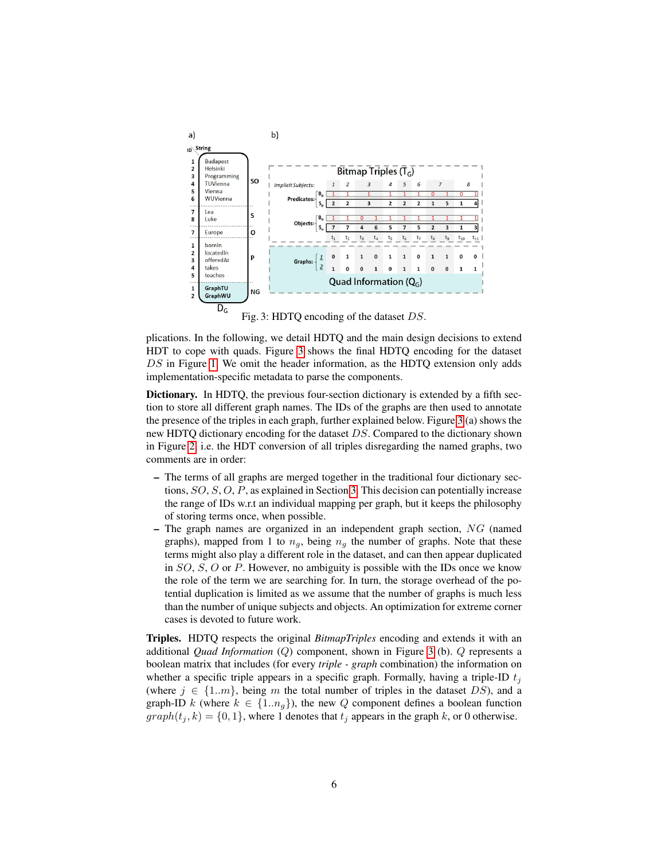<span id="page-5-0"></span>

Fig. 3: HDTQ encoding of the dataset DS.

plications. In the following, we detail HDTQ and the main design decisions to extend HDT to cope with quads. Figure [3](#page-5-0) shows the final HDTQ encoding for the dataset DS in Figure [1.](#page-3-0) We omit the header information, as the HDTO extension only adds implementation-specific metadata to parse the components.

Dictionary. In HDTQ, the previous four-section dictionary is extended by a fifth section to store all different graph names. The IDs of the graphs are then used to annotate the presence of the triples in each graph, further explained below. Figure [3](#page-5-0) (a) shows the new HDTQ dictionary encoding for the dataset DS. Compared to the dictionary shown in Figure [2,](#page-4-1) i.e. the HDT conversion of all triples disregarding the named graphs, two comments are in order:

- The terms of all graphs are merged together in the traditional four dictionary sections, SO, S, O, P, as explained in Section [3.](#page-2-0) This decision can potentially increase the range of IDs w.r.t an individual mapping per graph, but it keeps the philosophy of storing terms once, when possible.
- The graph names are organized in an independent graph section,  $NG$  (named graphs), mapped from 1 to  $n_q$ , being  $n_q$  the number of graphs. Note that these terms might also play a different role in the dataset, and can then appear duplicated in SO, S, O or P. However, no ambiguity is possible with the IDs once we know the role of the term we are searching for. In turn, the storage overhead of the potential duplication is limited as we assume that the number of graphs is much less than the number of unique subjects and objects. An optimization for extreme corner cases is devoted to future work.

Triples. HDTQ respects the original *BitmapTriples* encoding and extends it with an additional *Quad Information* (Q) component, shown in Figure [3](#page-5-0) (b). Q represents a boolean matrix that includes (for every *triple - graph* combination) the information on whether a specific triple appears in a specific graph. Formally, having a triple-ID  $t_i$ (where  $j \in \{1..m\}$ , being m the total number of triples in the dataset DS), and a graph-ID k (where  $k \in \{1..n_q\}$ ), the new Q component defines a boolean function  $graph(t_j, k) = \{0, 1\}$ , where 1 denotes that  $t_j$  appears in the graph k, or 0 otherwise.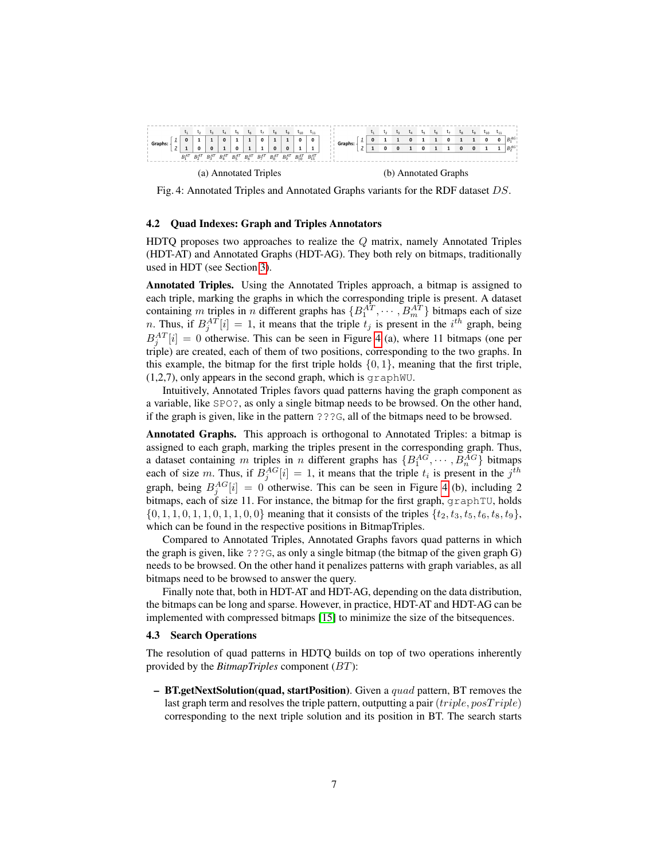<span id="page-6-0"></span>

Fig. 4: Annotated Triples and Annotated Graphs variants for the RDF dataset DS.

## 4.2 Quad Indexes: Graph and Triples Annotators

HDTQ proposes two approaches to realize the Q matrix, namely Annotated Triples (HDT-AT) and Annotated Graphs (HDT-AG). They both rely on bitmaps, traditionally used in HDT (see Section [3\)](#page-2-0).

Annotated Triples. Using the Annotated Triples approach, a bitmap is assigned to each triple, marking the graphs in which the corresponding triple is present. A dataset containing m triples in n different graphs has  $\{B_1^{AT}, \dots, B_m^{AT}\}\$  bitmaps each of size n. Thus, if  $B_j^{AT}[i] = 1$ , it means that the triple  $t_j$  is present in the  $i^{th}$  graph, being  $B_j^{AT}[i] = 0$  otherwise. This can be seen in Figure [4](#page-6-0) (a), where 11 bitmaps (one per triple) are created, each of them of two positions, corresponding to the two graphs. In this example, the bitmap for the first triple holds  $\{0, 1\}$ , meaning that the first triple, (1,2,7), only appears in the second graph, which is graphWU.

Intuitively, Annotated Triples favors quad patterns having the graph component as a variable, like SPO?, as only a single bitmap needs to be browsed. On the other hand, if the graph is given, like in the pattern ???G, all of the bitmaps need to be browsed.

Annotated Graphs. This approach is orthogonal to Annotated Triples: a bitmap is assigned to each graph, marking the triples present in the corresponding graph. Thus, a dataset containing m triples in n different graphs has  $\{B_1^{AG}, \cdots, B_n^{AG}\}\$  bitmaps each of size m. Thus, if  $B_j^{AG}[i] = 1$ , it means that the triple  $t_i$  is present in the  $j^{th}$ graph, being  $B_j^{AG}[i] = 0$  otherwise. This can be seen in Figure [4](#page-6-0) (b), including 2 bitmaps, each of size 11. For instance, the bitmap for the first graph, graphTU, holds  $\{0, 1, 1, 0, 1, 1, 0, 1, 1, 0, 0\}$  meaning that it consists of the triples  $\{t_2, t_3, t_5, t_6, t_8, t_9\}$ , which can be found in the respective positions in BitmapTriples.

Compared to Annotated Triples, Annotated Graphs favors quad patterns in which the graph is given, like ???G, as only a single bitmap (the bitmap of the given graph G) needs to be browsed. On the other hand it penalizes patterns with graph variables, as all bitmaps need to be browsed to answer the query.

Finally note that, both in HDT-AT and HDT-AG, depending on the data distribution, the bitmaps can be long and sparse. However, in practice, HDT-AT and HDT-AG can be implemented with compressed bitmaps [\[15\]](#page-14-14) to minimize the size of the bitsequences.

#### 4.3 Search Operations

The resolution of quad patterns in HDTQ builds on top of two operations inherently provided by the *BitmapTriples* component (BT):

– BT.getNextSolution(quad, startPosition). Given a quad pattern, BT removes the last graph term and resolves the triple pattern, outputting a pair  $(triple, posTriple)$ corresponding to the next triple solution and its position in BT. The search starts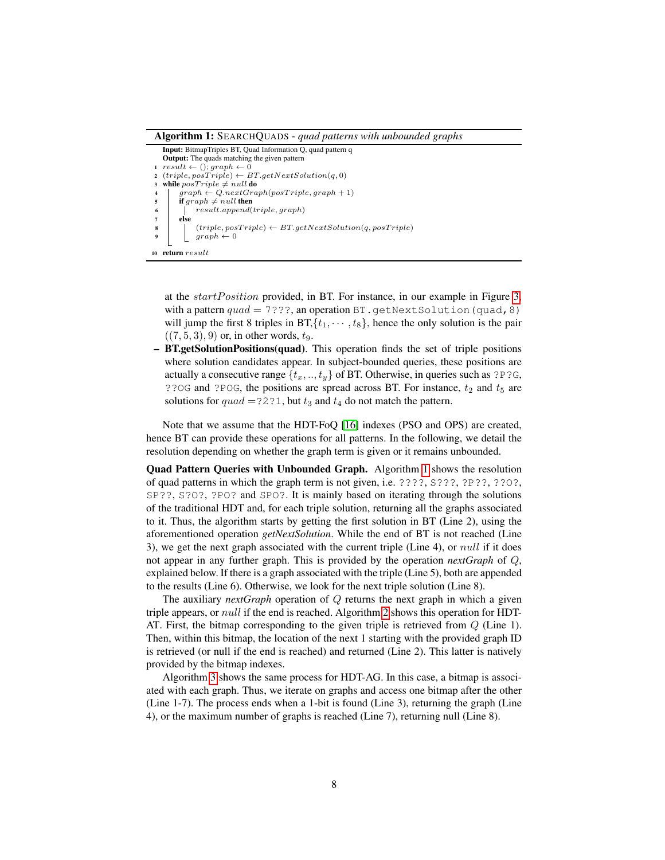# Algorithm 1: SEARCHQUADS - *quad patterns with unbounded graphs*

Input: BitmapTriples BT, Quad Information Q, quad pattern q Output: The quads matching the given pattern 1  $result \leftarrow ()$ ;  $graph \leftarrow 0$  $\label{eq:opt2} \textit{2 (triple, }posTriiple) \leftarrow BT.getNextSolution(q, 0)$ while  $posTriple \neq null$  do  $graph \leftarrow Q.nextGraph(posTriple, graph + 1)$ if  $graph \neq null$  then  $result.append(triple, graph)$ else  $\begin{array}{c|c} \hline \end{array}$  (triple, posTriple)  $\leftarrow BT.getNextSolution(q, posTriple)$ 9  $\vert$  graph  $\leftarrow 0$ 10 return result

<span id="page-7-0"></span>at the  $startPosition$  provided, in BT. For instance, in our example in Figure [3,](#page-5-0) with a pattern  $quad = 7$ ???, an operation BT.getNextSolution(quad,8) will jump the first 8 triples in  $BT$ ,  $\{t_1, \dots, t_8\}$ , hence the only solution is the pair  $((7, 5, 3), 9)$  or, in other words,  $t_9$ .

– BT.getSolutionPositions(quad). This operation finds the set of triple positions where solution candidates appear. In subject-bounded queries, these positions are actually a consecutive range  $\{t_x, ..., t_y\}$  of BT. Otherwise, in queries such as ?P?G, ?? OG and ? POG, the positions are spread across BT. For instance,  $t_2$  and  $t_5$  are solutions for  $quad = ?2 ?1$ , but  $t_3$  and  $t_4$  do not match the pattern.

Note that we assume that the HDT-FoQ [\[16\]](#page-14-4) indexes (PSO and OPS) are created, hence BT can provide these operations for all patterns. In the following, we detail the resolution depending on whether the graph term is given or it remains unbounded.

Quad Pattern Queries with Unbounded Graph. Algorithm [1](#page-7-0) shows the resolution of quad patterns in which the graph term is not given, i.e. ????, S???, ?P??, ??O?, SP??, S?O?, ?PO? and SPO?. It is mainly based on iterating through the solutions of the traditional HDT and, for each triple solution, returning all the graphs associated to it. Thus, the algorithm starts by getting the first solution in BT (Line 2), using the aforementioned operation *getNextSolution*. While the end of BT is not reached (Line 3), we get the next graph associated with the current triple (Line 4), or *null* if it does not appear in any further graph. This is provided by the operation *nextGraph* of Q, explained below. If there is a graph associated with the triple (Line 5), both are appended to the results (Line 6). Otherwise, we look for the next triple solution (Line 8).

The auxiliary *nextGraph* operation of Q returns the next graph in which a given triple appears, or null if the end is reached. Algorithm [2](#page-8-1) shows this operation for HDT-AT. First, the bitmap corresponding to the given triple is retrieved from Q (Line 1). Then, within this bitmap, the location of the next 1 starting with the provided graph ID is retrieved (or null if the end is reached) and returned (Line 2). This latter is natively provided by the bitmap indexes.

Algorithm [3](#page-8-2) shows the same process for HDT-AG. In this case, a bitmap is associated with each graph. Thus, we iterate on graphs and access one bitmap after the other (Line 1-7). The process ends when a 1-bit is found (Line 3), returning the graph (Line 4), or the maximum number of graphs is reached (Line 7), returning null (Line 8).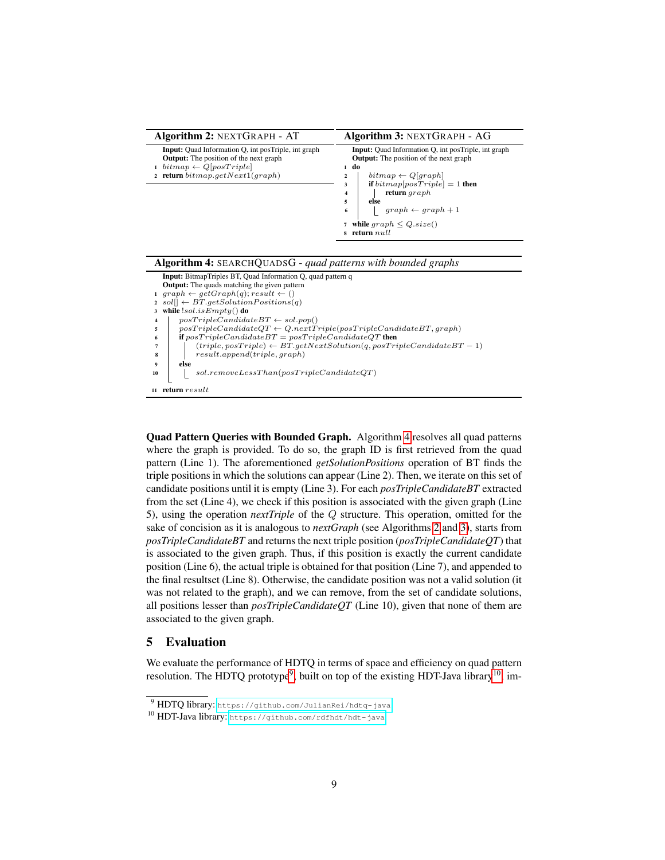<span id="page-8-2"></span><span id="page-8-1"></span>

<span id="page-8-3"></span>Quad Pattern Queries with Bounded Graph. Algorithm [4](#page-8-3) resolves all quad patterns where the graph is provided. To do so, the graph ID is first retrieved from the quad pattern (Line 1). The aforementioned *getSolutionPositions* operation of BT finds the triple positions in which the solutions can appear (Line 2). Then, we iterate on this set of candidate positions until it is empty (Line 3). For each *posTripleCandidateBT* extracted from the set (Line 4), we check if this position is associated with the given graph (Line 5), using the operation *nextTriple* of the Q structure. This operation, omitted for the sake of concision as it is analogous to *nextGraph* (see Algorithms [2](#page-8-1) and [3\)](#page-8-2), starts from *posTripleCandidateBT* and returns the next triple position (*posTripleCandidateQT*) that is associated to the given graph. Thus, if this position is exactly the current candidate position (Line 6), the actual triple is obtained for that position (Line 7), and appended to the final resultset (Line 8). Otherwise, the candidate position was not a valid solution (it was not related to the graph), and we can remove, from the set of candidate solutions, all positions lesser than *posTripleCandidateQT* (Line 10), given that none of them are associated to the given graph.

# <span id="page-8-0"></span>5 Evaluation

We evaluate the performance of HDTQ in terms of space and efficiency on quad pattern resolution. The HDTQ prototype<sup>[9](#page-8-4)</sup>, built on top of the existing HDT-Java library<sup>[10](#page-8-5)</sup>, im-

<span id="page-8-4"></span><sup>9</sup> HDTQ library: <https://github.com/JulianRei/hdtq-java>

<span id="page-8-5"></span><sup>10</sup> HDT-Java library: <https://github.com/rdfhdt/hdt-java>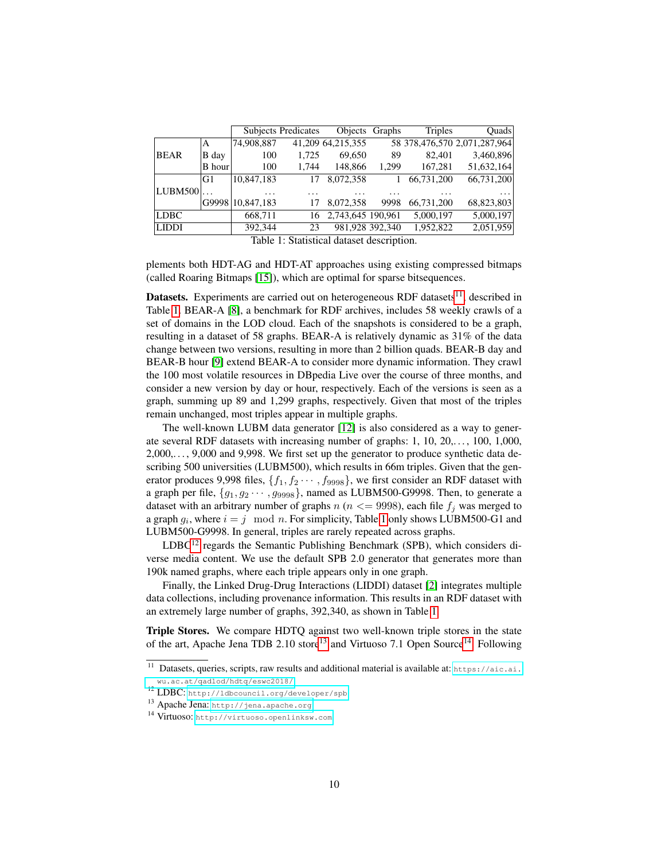<span id="page-9-1"></span>

|              |        | <b>Subjects Predicates</b> |       | Objects Graphs       |       | <b>Triples</b> | <b>Ouads</b>                 |
|--------------|--------|----------------------------|-------|----------------------|-------|----------------|------------------------------|
|              | А      | 74,908,887                 |       | 41,209 64,215,355    |       |                | 58 378,476,570 2,071,287,964 |
| <b>BEAR</b>  | B day  | 100                        | 1,725 | 69,650               | 89    | 82,401         | 3,460,896                    |
|              | B hour | 100                        | 1,744 | 148,866              | 1,299 | 167,281        | 51,632,164                   |
|              | G1     | 10.847.183                 | 17    | 8,072,358            |       | 66,731,200     | $\overline{66}$ , 731, 200   |
| LUBM500      |        | .                          | .     |                      | .     | .              | $\cdots$                     |
|              | G9998  | 10,847,183                 | 17    | 8,072,358            | 9998  | 66,731,200     | 68,823,803                   |
| <b>LDBC</b>  |        | 668,711                    |       | 16 2,743,645 190,961 |       | 5,000,197      | 5,000,197                    |
| <b>LIDDI</b> |        | 392.344                    | 23    | 981,928 392,340      |       | 1,952,822      | 2,051,959                    |

Table 1: Statistical dataset description.

plements both HDT-AG and HDT-AT approaches using existing compressed bitmaps (called Roaring Bitmaps [\[15\]](#page-14-14)), which are optimal for sparse bitsequences.

**Datasets.** Experiments are carried out on heterogeneous RDF datasets<sup>[11](#page-9-0)</sup>, described in Table [1.](#page-9-1) BEAR-A [\[8\]](#page-14-15), a benchmark for RDF archives, includes 58 weekly crawls of a set of domains in the LOD cloud. Each of the snapshots is considered to be a graph, resulting in a dataset of 58 graphs. BEAR-A is relatively dynamic as 31% of the data change between two versions, resulting in more than 2 billion quads. BEAR-B day and BEAR-B hour [\[9\]](#page-14-16) extend BEAR-A to consider more dynamic information. They crawl the 100 most volatile resources in DBpedia Live over the course of three months, and consider a new version by day or hour, respectively. Each of the versions is seen as a graph, summing up 89 and 1,299 graphs, respectively. Given that most of the triples remain unchanged, most triples appear in multiple graphs.

The well-known LUBM data generator [\[12\]](#page-14-17) is also considered as a way to generate several RDF datasets with increasing number of graphs: 1, 10, 20,. . . , 100, 1,000, 2,000,. . . , 9,000 and 9,998. We first set up the generator to produce synthetic data describing 500 universities (LUBM500), which results in 66m triples. Given that the generator produces 9,998 files,  $\{f_1, f_2 \cdots, f_{9998}\}$ , we first consider an RDF dataset with a graph per file,  $\{g_1, g_2 \cdots, g_{9998}\}\$ , named as LUBM500-G9998. Then, to generate a dataset with an arbitrary number of graphs  $n (n \leq 9998)$ , each file  $f_i$  was merged to a graph  $g_i$ , where  $i = j \mod n$ . For simplicity, Table [1](#page-9-1) only shows LUBM500-G1 and LUBM500-G9998. In general, triples are rarely repeated across graphs.

 $LDBC<sup>12</sup>$  $LDBC<sup>12</sup>$  $LDBC<sup>12</sup>$  regards the Semantic Publishing Benchmark (SPB), which considers diverse media content. We use the default SPB 2.0 generator that generates more than 190k named graphs, where each triple appears only in one graph.

Finally, the Linked Drug-Drug Interactions (LIDDI) dataset [\[2\]](#page-14-18) integrates multiple data collections, including provenance information. This results in an RDF dataset with an extremely large number of graphs, 392,340, as shown in Table [1.](#page-9-1)

Triple Stores. We compare HDTQ against two well-known triple stores in the state of the art, Apache Jena TDB 2.10 store<sup>[13](#page-9-3)</sup> and Virtuoso 7.1 Open Source<sup>[14](#page-9-4)</sup>. Following

<span id="page-9-0"></span><sup>&</sup>lt;sup>11</sup> Datasets, queries, scripts, raw results and additional material is available at: [https://aic.ai.](https://aic.ai.wu.ac.at/qadlod/hdtq/eswc2018/) [wu.ac.at/qadlod/hdtq/eswc2018/](https://aic.ai.wu.ac.at/qadlod/hdtq/eswc2018/)

<span id="page-9-2"></span><sup>12</sup> LDBC: <http://ldbcouncil.org/developer/spb>

<span id="page-9-3"></span><sup>13</sup> Apache Jena: <http://jena.apache.org>

<span id="page-9-4"></span><sup>14</sup> Virtuoso: <http://virtuoso.openlinksw.com>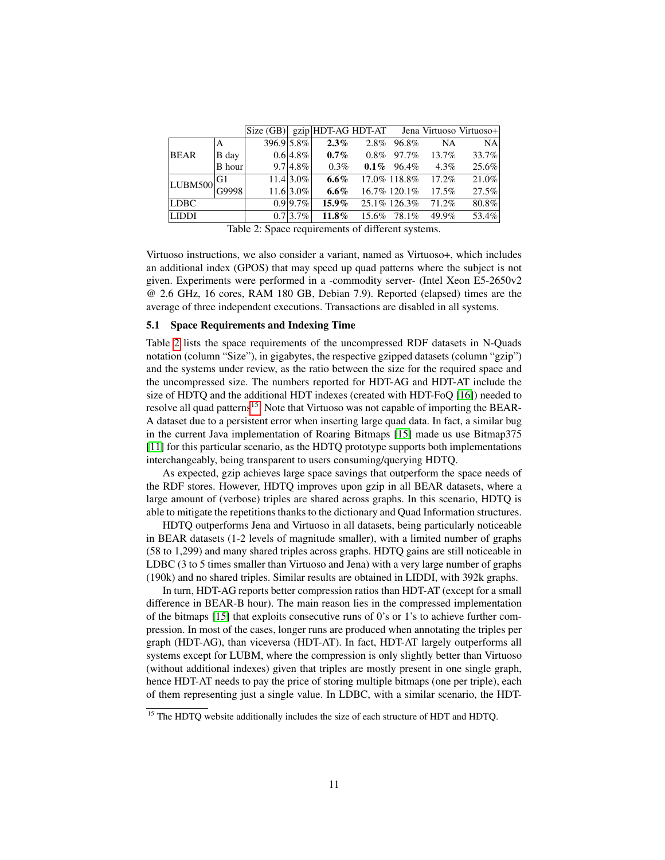<span id="page-10-0"></span>

|                     |               | Size (GB) gzip HDT-AG HDT-AT Jena Virtuoso Virtuoso+ |               |          |                |          |          |
|---------------------|---------------|------------------------------------------------------|---------------|----------|----------------|----------|----------|
| <b>BEAR</b>         | А             | 396.9 5.8%                                           |               | $2.3\%$  | 2.8% 96.8%     | NA       | NA       |
|                     | B day         |                                                      | $0.6 4.8\% $  | $0.7\%$  | $0.8\%$ 97.7%  | $13.7\%$ | $33.7\%$ |
|                     | <b>B</b> hour |                                                      | $9.7 4.8\%$   | $0.3\%$  | 0.1\% 96.4\%   | $4.3\%$  | $25.6\%$ |
| $ LUBM500 $ $G9998$ | G1            |                                                      | $11.4 3.0\% $ | $6.6\%$  | 17.0% 118.8%   | $17.2\%$ | $21.0\%$ |
|                     |               |                                                      | $11.6 3.0\% $ | $6.6\%$  | 16.7% 120.1%   | 17.5%    | $27.5\%$ |
| <b>LDBC</b>         |               |                                                      | 0.9 9.7%      | $15.9\%$ | 25.1\% 126.3\% | 71.2%    | $80.8\%$ |
| <b>LIDDI</b>        |               |                                                      | $0.7 3.7\%$   | 11.8%    | 15.6% 78.1%    | 49.9%    | 53.4%    |

Table 2: Space requirements of different systems.

Virtuoso instructions, we also consider a variant, named as Virtuoso+, which includes an additional index (GPOS) that may speed up quad patterns where the subject is not given. Experiments were performed in a -commodity server- (Intel Xeon E5-2650v2 @ 2.6 GHz, 16 cores, RAM 180 GB, Debian 7.9). Reported (elapsed) times are the average of three independent executions. Transactions are disabled in all systems.

## 5.1 Space Requirements and Indexing Time

Table [2](#page-10-0) lists the space requirements of the uncompressed RDF datasets in N-Quads notation (column "Size"), in gigabytes, the respective gzipped datasets (column "gzip") and the systems under review, as the ratio between the size for the required space and the uncompressed size. The numbers reported for HDT-AG and HDT-AT include the size of HDTQ and the additional HDT indexes (created with HDT-FoQ [\[16\]](#page-14-4)) needed to resolve all quad patterns<sup>[15](#page-10-1)</sup>. Note that Virtuoso was not capable of importing the BEAR-A dataset due to a persistent error when inserting large quad data. In fact, a similar bug in the current Java implementation of Roaring Bitmaps [\[15\]](#page-14-14) made us use Bitmap375 [\[11\]](#page-14-13) for this particular scenario, as the HDTQ prototype supports both implementations interchangeably, being transparent to users consuming/querying HDTQ.

As expected, gzip achieves large space savings that outperform the space needs of the RDF stores. However, HDTQ improves upon gzip in all BEAR datasets, where a large amount of (verbose) triples are shared across graphs. In this scenario, HDTQ is able to mitigate the repetitions thanks to the dictionary and Quad Information structures.

HDTQ outperforms Jena and Virtuoso in all datasets, being particularly noticeable in BEAR datasets (1-2 levels of magnitude smaller), with a limited number of graphs (58 to 1,299) and many shared triples across graphs. HDTQ gains are still noticeable in LDBC (3 to 5 times smaller than Virtuoso and Jena) with a very large number of graphs (190k) and no shared triples. Similar results are obtained in LIDDI, with 392k graphs.

In turn, HDT-AG reports better compression ratios than HDT-AT (except for a small difference in BEAR-B hour). The main reason lies in the compressed implementation of the bitmaps  $[15]$  that exploits consecutive runs of 0's or 1's to achieve further compression. In most of the cases, longer runs are produced when annotating the triples per graph (HDT-AG), than viceversa (HDT-AT). In fact, HDT-AT largely outperforms all systems except for LUBM, where the compression is only slightly better than Virtuoso (without additional indexes) given that triples are mostly present in one single graph, hence HDT-AT needs to pay the price of storing multiple bitmaps (one per triple), each of them representing just a single value. In LDBC, with a similar scenario, the HDT-

<span id="page-10-1"></span><sup>&</sup>lt;sup>15</sup> The HDTQ website additionally includes the size of each structure of HDT and HDTQ.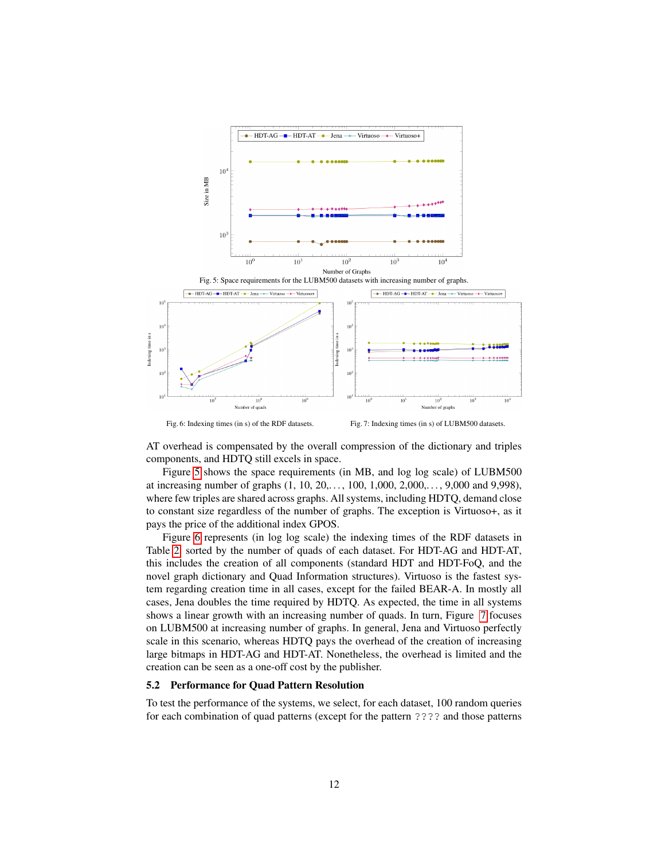<span id="page-11-0"></span>

<span id="page-11-1"></span>AT overhead is compensated by the overall compression of the dictionary and triples components, and HDTQ still excels in space.

Figure [5](#page-11-0) shows the space requirements (in MB, and log log scale) of LUBM500 at increasing number of graphs (1, 10, 20,. . . , 100, 1,000, 2,000,. . . , 9,000 and 9,998), where few triples are shared across graphs. All systems, including HDTQ, demand close to constant size regardless of the number of graphs. The exception is Virtuoso+, as it pays the price of the additional index GPOS.

Figure [6](#page-11-1) represents (in log log scale) the indexing times of the RDF datasets in Table [2,](#page-10-0) sorted by the number of quads of each dataset. For HDT-AG and HDT-AT, this includes the creation of all components (standard HDT and HDT-FoQ, and the novel graph dictionary and Quad Information structures). Virtuoso is the fastest system regarding creation time in all cases, except for the failed BEAR-A. In mostly all cases, Jena doubles the time required by HDTQ. As expected, the time in all systems shows a linear growth with an increasing number of quads. In turn, Figure [7](#page-11-1) focuses on LUBM500 at increasing number of graphs. In general, Jena and Virtuoso perfectly scale in this scenario, whereas HDTQ pays the overhead of the creation of increasing large bitmaps in HDT-AG and HDT-AT. Nonetheless, the overhead is limited and the creation can be seen as a one-off cost by the publisher.

# 5.2 Performance for Quad Pattern Resolution

To test the performance of the systems, we select, for each dataset, 100 random queries for each combination of quad patterns (except for the pattern ???? and those patterns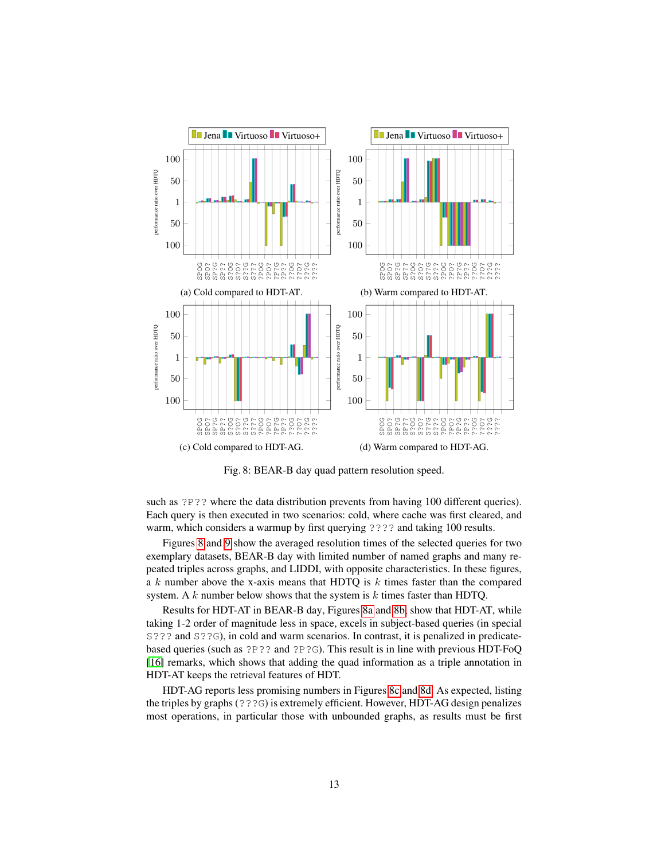<span id="page-12-0"></span>

Fig. 8: BEAR-B day quad pattern resolution speed.

such as ?P?? where the data distribution prevents from having 100 different queries). Each query is then executed in two scenarios: cold, where cache was first cleared, and warm, which considers a warmup by first querying ???? and taking 100 results.

Figures [8](#page-12-0) and [9](#page-13-1) show the averaged resolution times of the selected queries for two exemplary datasets, BEAR-B day with limited number of named graphs and many repeated triples across graphs, and LIDDI, with opposite characteristics. In these figures, a k number above the x-axis means that HDTQ is  $k$  times faster than the compared system. A  $k$  number below shows that the system is  $k$  times faster than HDTQ.

Results for HDT-AT in BEAR-B day, Figures [8a](#page-12-0) and [8b,](#page-12-0) show that HDT-AT, while taking 1-2 order of magnitude less in space, excels in subject-based queries (in special S??? and S??G), in cold and warm scenarios. In contrast, it is penalized in predicatebased queries (such as ?P?? and ?P?G). This result is in line with previous HDT-FoQ [\[16\]](#page-14-4) remarks, which shows that adding the quad information as a triple annotation in HDT-AT keeps the retrieval features of HDT.

HDT-AG reports less promising numbers in Figures [8c](#page-12-0) and [8d.](#page-12-0) As expected, listing the triples by graphs (???G) is extremely efficient. However, HDT-AG design penalizes most operations, in particular those with unbounded graphs, as results must be first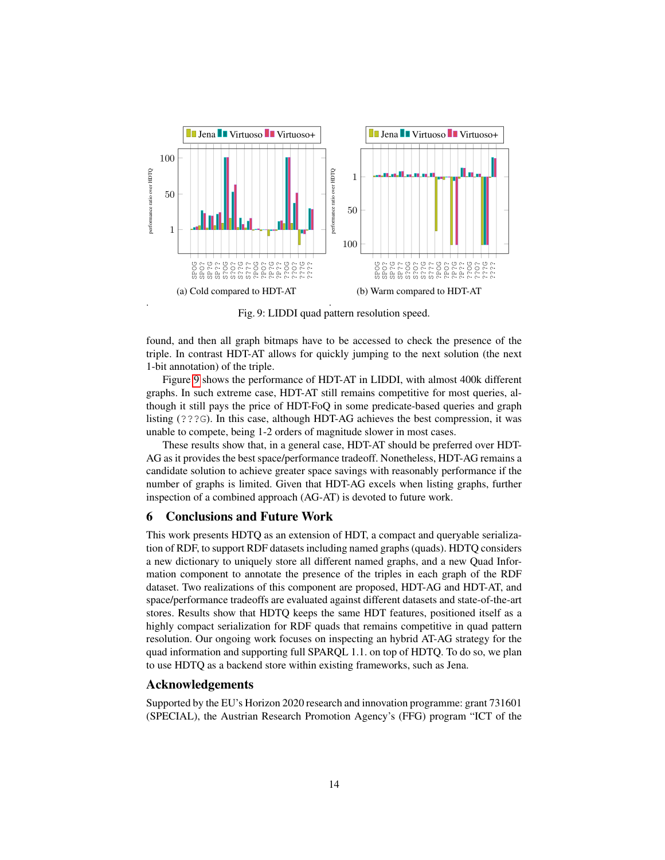<span id="page-13-1"></span>

Fig. 9: LIDDI quad pattern resolution speed.

found, and then all graph bitmaps have to be accessed to check the presence of the triple. In contrast HDT-AT allows for quickly jumping to the next solution (the next 1-bit annotation) of the triple.

Figure [9](#page-13-1) shows the performance of HDT-AT in LIDDI, with almost 400k different graphs. In such extreme case, HDT-AT still remains competitive for most queries, although it still pays the price of HDT-FoQ in some predicate-based queries and graph listing (???G). In this case, although HDT-AG achieves the best compression, it was unable to compete, being 1-2 orders of magnitude slower in most cases.

These results show that, in a general case, HDT-AT should be preferred over HDT-AG as it provides the best space/performance tradeoff. Nonetheless, HDT-AG remains a candidate solution to achieve greater space savings with reasonably performance if the number of graphs is limited. Given that HDT-AG excels when listing graphs, further inspection of a combined approach (AG-AT) is devoted to future work.

# <span id="page-13-0"></span>6 Conclusions and Future Work

This work presents HDTQ as an extension of HDT, a compact and queryable serialization of RDF, to support RDF datasets including named graphs (quads). HDTQ considers a new dictionary to uniquely store all different named graphs, and a new Quad Information component to annotate the presence of the triples in each graph of the RDF dataset. Two realizations of this component are proposed, HDT-AG and HDT-AT, and space/performance tradeoffs are evaluated against different datasets and state-of-the-art stores. Results show that HDTQ keeps the same HDT features, positioned itself as a highly compact serialization for RDF quads that remains competitive in quad pattern resolution. Our ongoing work focuses on inspecting an hybrid AT-AG strategy for the quad information and supporting full SPARQL 1.1. on top of HDTQ. To do so, we plan to use HDTQ as a backend store within existing frameworks, such as Jena.

# Acknowledgements

Supported by the EU's Horizon 2020 research and innovation programme: grant 731601 (SPECIAL), the Austrian Research Promotion Agency's (FFG) program "ICT of the